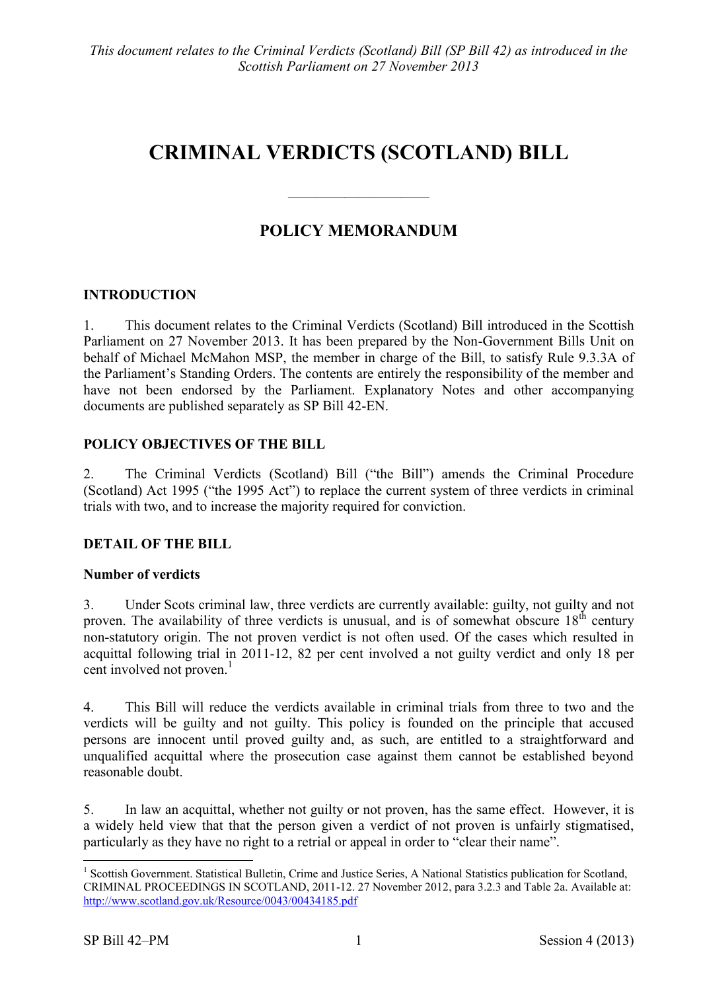# **CRIMINAL VERDICTS (SCOTLAND) BILL**

# **POLICY MEMORANDUM**

 $\frac{1}{\sqrt{2}}$ 

## **INTRODUCTION**

1. This document relates to the Criminal Verdicts (Scotland) Bill introduced in the Scottish Parliament on 27 November 2013. It has been prepared by the Non-Government Bills Unit on behalf of Michael McMahon MSP, the member in charge of the Bill, to satisfy Rule 9.3.3A of the Parliament's Standing Orders. The contents are entirely the responsibility of the member and have not been endorsed by the Parliament. Explanatory Notes and other accompanying documents are published separately as SP Bill 42-EN.

#### **POLICY OBJECTIVES OF THE BILL**

2. The Criminal Verdicts (Scotland) Bill ("the Bill") amends the Criminal Procedure (Scotland) Act 1995 ("the 1995 Act") to replace the current system of three verdicts in criminal trials with two, and to increase the majority required for conviction.

#### **DETAIL OF THE BILL**

#### **Number of verdicts**

3. Under Scots criminal law, three verdicts are currently available: guilty, not guilty and not proven. The availability of three verdicts is unusual, and is of somewhat obscure  $18<sup>th</sup>$  century non-statutory origin. The not proven verdict is not often used. Of the cases which resulted in acquittal following trial in 2011-12, 82 per cent involved a not guilty verdict and only 18 per cent involved not proven. 1

4. This Bill will reduce the verdicts available in criminal trials from three to two and the verdicts will be guilty and not guilty. This policy is founded on the principle that accused persons are innocent until proved guilty and, as such, are entitled to a straightforward and unqualified acquittal where the prosecution case against them cannot be established beyond reasonable doubt.

5. In law an acquittal, whether not guilty or not proven, has the same effect. However, it is a widely held view that that the person given a verdict of not proven is unfairly stigmatised, particularly as they have no right to a retrial or appeal in order to "clear their name".

 $\overline{a}$ 

<sup>&</sup>lt;sup>1</sup> Scottish Government. Statistical Bulletin, Crime and Justice Series, A National Statistics publication for Scotland, CRIMINAL PROCEEDINGS IN SCOTLAND, 2011-12. 27 November 2012, para 3.2.3 and Table 2a. Available at: <http://www.scotland.gov.uk/Resource/0043/00434185.pdf>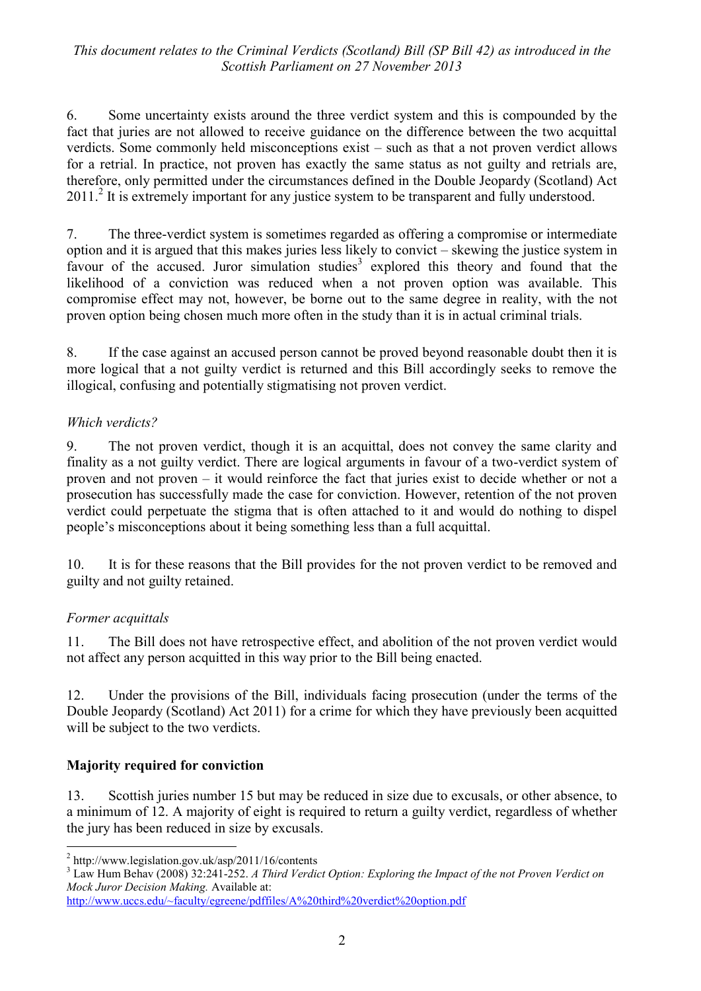6. Some uncertainty exists around the three verdict system and this is compounded by the fact that juries are not allowed to receive guidance on the difference between the two acquittal verdicts. Some commonly held misconceptions exist – such as that a not proven verdict allows for a retrial. In practice, not proven has exactly the same status as not guilty and retrials are, therefore, only permitted under the circumstances defined in the Double Jeopardy (Scotland) Act 2011.<sup>2</sup> It is extremely important for any justice system to be transparent and fully understood.

7. The three-verdict system is sometimes regarded as offering a compromise or intermediate option and it is argued that this makes juries less likely to convict – skewing the justice system in favour of the accused. Juror simulation studies<sup>3</sup> explored this theory and found that the likelihood of a conviction was reduced when a not proven option was available. This compromise effect may not, however, be borne out to the same degree in reality, with the not proven option being chosen much more often in the study than it is in actual criminal trials.

8. If the case against an accused person cannot be proved beyond reasonable doubt then it is more logical that a not guilty verdict is returned and this Bill accordingly seeks to remove the illogical, confusing and potentially stigmatising not proven verdict.

#### *Which verdicts?*

9. The not proven verdict, though it is an acquittal, does not convey the same clarity and finality as a not guilty verdict. There are logical arguments in favour of a two-verdict system of proven and not proven – it would reinforce the fact that juries exist to decide whether or not a prosecution has successfully made the case for conviction. However, retention of the not proven verdict could perpetuate the stigma that is often attached to it and would do nothing to dispel people's misconceptions about it being something less than a full acquittal.

10. It is for these reasons that the Bill provides for the not proven verdict to be removed and guilty and not guilty retained.

#### *Former acquittals*

11. The Bill does not have retrospective effect, and abolition of the not proven verdict would not affect any person acquitted in this way prior to the Bill being enacted.

12. Under the provisions of the Bill, individuals facing prosecution (under the terms of the Double Jeopardy (Scotland) Act 2011) for a crime for which they have previously been acquitted will be subject to the two verdicts.

## **Majority required for conviction**

13. Scottish juries number 15 but may be reduced in size due to excusals, or other absence, to a minimum of 12. A majority of eight is required to return a guilty verdict, regardless of whether the jury has been reduced in size by excusals.

 2 http://www.legislation.gov.uk/asp/2011/16/contents

<sup>3</sup> Law Hum Behav (2008) 32:241-252. *A Third Verdict Option: Exploring the Impact of the not Proven Verdict on Mock Juror Decision Making.* Available at:

<http://www.uccs.edu/~faculty/egreene/pdffiles/A%20third%20verdict%20option.pdf>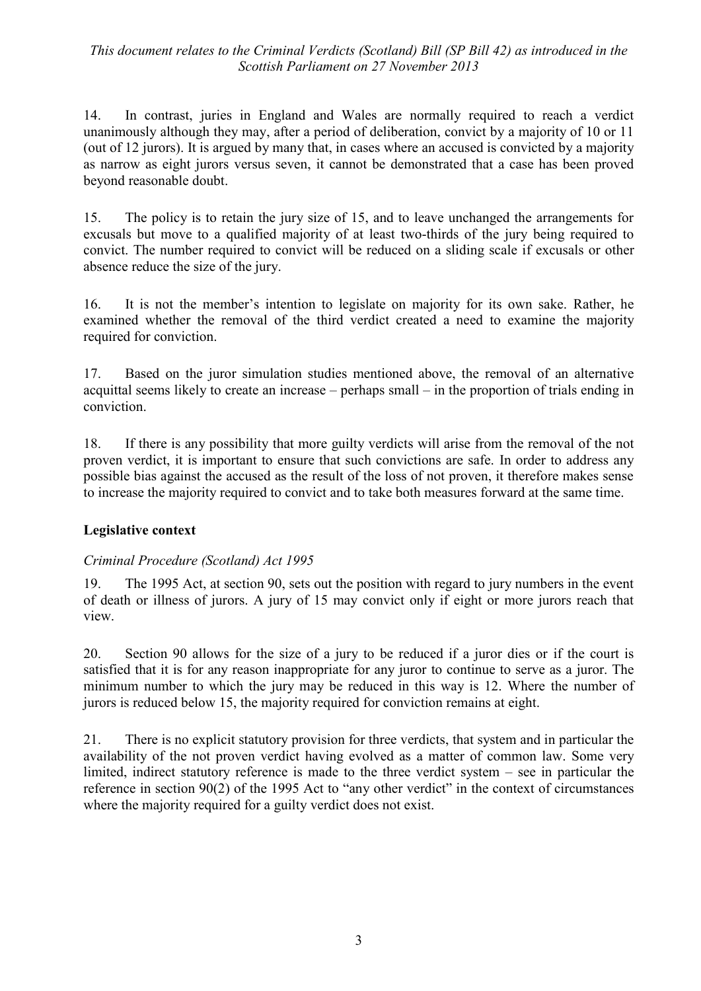14. In contrast, juries in England and Wales are normally required to reach a verdict unanimously although they may, after a period of deliberation, convict by a majority of 10 or 11 (out of 12 jurors). It is argued by many that, in cases where an accused is convicted by a majority as narrow as eight jurors versus seven, it cannot be demonstrated that a case has been proved beyond reasonable doubt.

15. The policy is to retain the jury size of 15, and to leave unchanged the arrangements for excusals but move to a qualified majority of at least two-thirds of the jury being required to convict. The number required to convict will be reduced on a sliding scale if excusals or other absence reduce the size of the jury.

16. It is not the member's intention to legislate on majority for its own sake. Rather, he examined whether the removal of the third verdict created a need to examine the majority required for conviction.

17. Based on the juror simulation studies mentioned above, the removal of an alternative acquittal seems likely to create an increase – perhaps small – in the proportion of trials ending in conviction.

18. If there is any possibility that more guilty verdicts will arise from the removal of the not proven verdict, it is important to ensure that such convictions are safe. In order to address any possible bias against the accused as the result of the loss of not proven, it therefore makes sense to increase the majority required to convict and to take both measures forward at the same time.

## **Legislative context**

#### *Criminal Procedure (Scotland) Act 1995*

19. The 1995 Act, at section 90, sets out the position with regard to jury numbers in the event of death or illness of jurors. A jury of 15 may convict only if eight or more jurors reach that view.

20. Section 90 allows for the size of a jury to be reduced if a juror dies or if the court is satisfied that it is for any reason inappropriate for any juror to continue to serve as a juror. The minimum number to which the jury may be reduced in this way is 12. Where the number of jurors is reduced below 15, the majority required for conviction remains at eight.

21. There is no explicit statutory provision for three verdicts, that system and in particular the availability of the not proven verdict having evolved as a matter of common law. Some very limited, indirect statutory reference is made to the three verdict system – see in particular the reference in section  $90(2)$  of the 1995 Act to "any other verdict" in the context of circumstances where the majority required for a guilty verdict does not exist.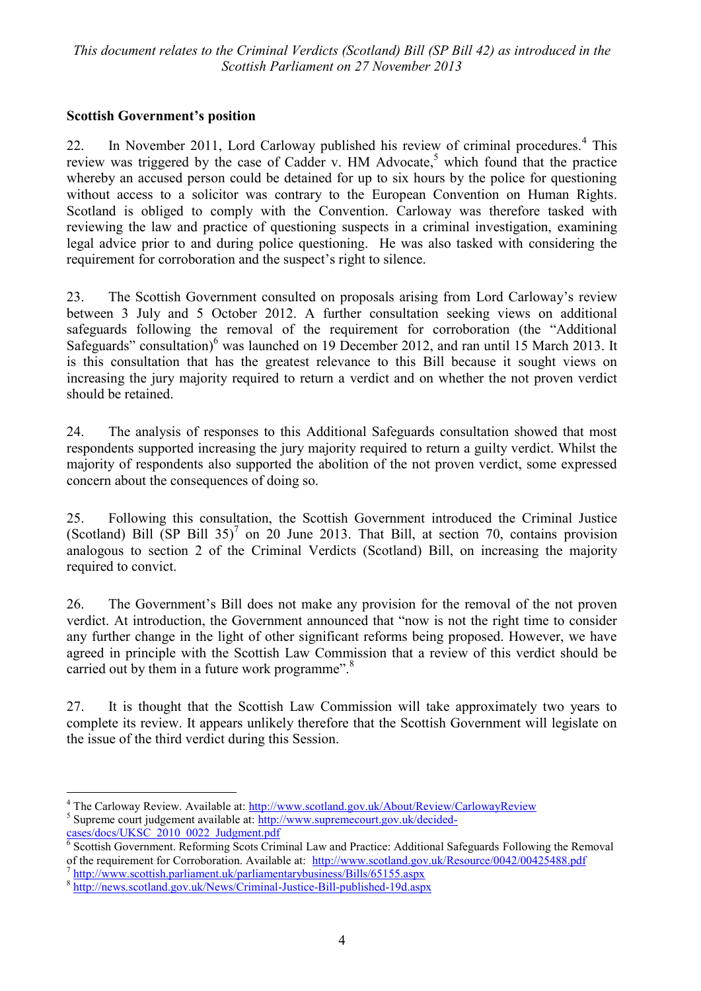#### **Scottish Government's position**

22. In November 2011, Lord Carloway published his review of criminal procedures.<sup>4</sup> This review was triggered by the case of Cadder v. HM Advocate,<sup>5</sup> which found that the practice whereby an accused person could be detained for up to six hours by the police for questioning without access to a solicitor was contrary to the European Convention on Human Rights. Scotland is obliged to comply with the Convention. Carloway was therefore tasked with reviewing the law and practice of questioning suspects in a criminal investigation, examining legal advice prior to and during police questioning. He was also tasked with considering the requirement for corroboration and the suspect's right to silence.

23. The Scottish Government consulted on proposals arising from Lord Carloway's review between 3 July and 5 October 2012. A further consultation seeking views on additional safeguards following the removal of the requirement for corroboration (the "Additional Safeguards" consultation)<sup>6</sup> was launched on 19 December 2012, and ran until 15 March 2013. It is this consultation that has the greatest relevance to this Bill because it sought views on increasing the jury majority required to return a verdict and on whether the not proven verdict should be retained.

24. The analysis of responses to this Additional Safeguards consultation showed that most respondents supported increasing the jury majority required to return a guilty verdict. Whilst the majority of respondents also supported the abolition of the not proven verdict, some expressed concern about the consequences of doing so.

25. Following this consultation, the Scottish Government introduced the Criminal Justice (Scotland) Bill  $(SP \text{ Bill } 35)^7$  on 20 June 2013. That Bill, at section 70, contains provision analogous to section 2 of the Criminal Verdicts (Scotland) Bill, on increasing the majority required to convict.

26. The Government's Bill does not make any provision for the removal of the not proven verdict. At introduction, the Government announced that "now is not the right time to consider any further change in the light of other significant reforms being proposed. However, we have agreed in principle with the Scottish Law Commission that a review of this verdict should be carried out by them in a future work programme".<sup>8</sup>

27. It is thought that the Scottish Law Commission will take approximately two years to complete its review. It appears unlikely therefore that the Scottish Government will legislate on the issue of the third verdict during this Session.

<u>.</u>

<sup>&</sup>lt;sup>4</sup> The Carloway Review. Available at:<http://www.scotland.gov.uk/About/Review/CarlowayReview> <sup>5</sup> Supreme court judgement available at: [http://www.supremecourt.gov.uk/decided-](http://www.supremecourt.gov.uk/decided-cases/docs/UKSC_2010_0022_Judgment.pdf)

[cases/docs/UKSC\\_2010\\_0022\\_Judgment.pdf](http://www.supremecourt.gov.uk/decided-cases/docs/UKSC_2010_0022_Judgment.pdf)<br><sup>6</sup> Scottish Government. Reforming Scots Criminal Law and Practice: Additional Safeguards Following the Removal of the requirement for Corroboration. Available at: <http://www.scotland.gov.uk/Resource/0042/00425488.pdf>

<sup>7</sup> <http://www.scottish.parliament.uk/parliamentarybusiness/Bills/65155.aspx>

<sup>&</sup>lt;sup>8</sup> <http://news.scotland.gov.uk/News/Criminal-Justice-Bill-published-19d.aspx>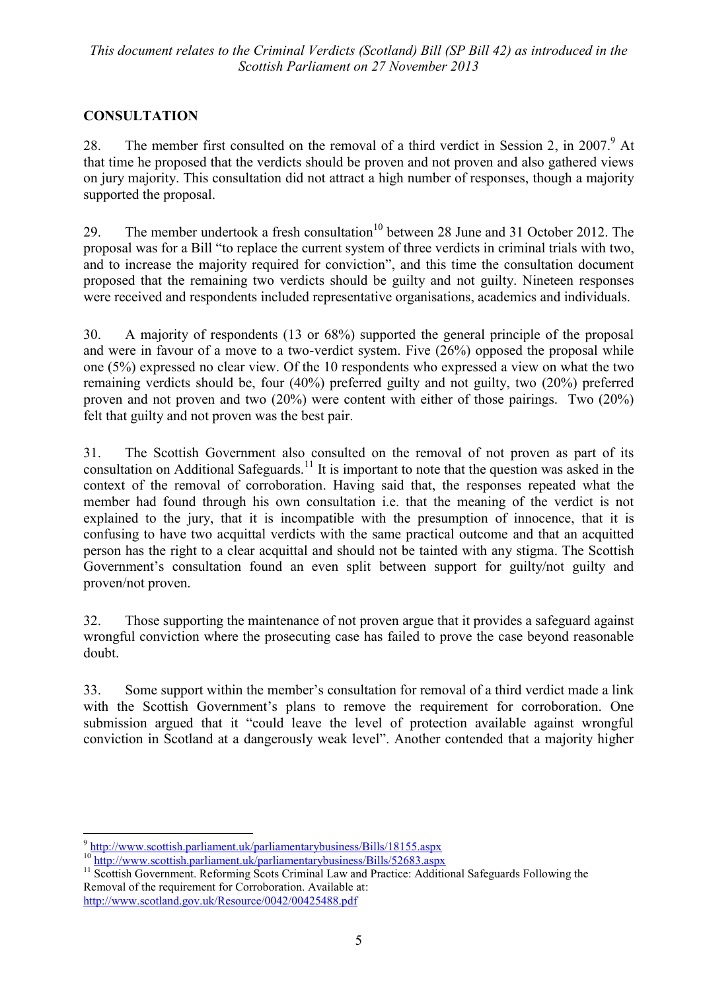## **CONSULTATION**

28. The member first consulted on the removal of a third verdict in Session 2, in 2007.<sup>9</sup> At that time he proposed that the verdicts should be proven and not proven and also gathered views on jury majority. This consultation did not attract a high number of responses, though a majority supported the proposal.

29. The member undertook a fresh consultation<sup>10</sup> between 28 June and 31 October 2012. The proposal was for a Bill "to replace the current system of three verdicts in criminal trials with two, and to increase the majority required for conviction", and this time the consultation document proposed that the remaining two verdicts should be guilty and not guilty. Nineteen responses were received and respondents included representative organisations, academics and individuals.

30. A majority of respondents (13 or 68%) supported the general principle of the proposal and were in favour of a move to a two-verdict system. Five (26%) opposed the proposal while one (5%) expressed no clear view. Of the 10 respondents who expressed a view on what the two remaining verdicts should be, four (40%) preferred guilty and not guilty, two (20%) preferred proven and not proven and two (20%) were content with either of those pairings. Two (20%) felt that guilty and not proven was the best pair.

31. The Scottish Government also consulted on the removal of not proven as part of its consultation on Additional Safeguards.<sup>11</sup> It is important to note that the question was asked in the context of the removal of corroboration. Having said that, the responses repeated what the member had found through his own consultation i.e. that the meaning of the verdict is not explained to the jury, that it is incompatible with the presumption of innocence, that it is confusing to have two acquittal verdicts with the same practical outcome and that an acquitted person has the right to a clear acquittal and should not be tainted with any stigma. The Scottish Government's consultation found an even split between support for guilty/not guilty and proven/not proven.

32. Those supporting the maintenance of not proven argue that it provides a safeguard against wrongful conviction where the prosecuting case has failed to prove the case beyond reasonable doubt.

33. Some support within the member's consultation for removal of a third verdict made a link with the Scottish Government's plans to remove the requirement for corroboration. One submission argued that it "could leave the level of protection available against wrongful conviction in Scotland at a dangerously weak level". Another contended that a majority higher

 9 <http://www.scottish.parliament.uk/parliamentarybusiness/Bills/18155.aspx>

<sup>&</sup>lt;sup>10</sup> <http://www.scottish.parliament.uk/parliamentarybusiness/Bills/52683.aspx>

<sup>&</sup>lt;sup>11</sup> Scottish Government. Reforming Scots Criminal Law and Practice: Additional Safeguards Following the Removal of the requirement for Corroboration. Available at: <http://www.scotland.gov.uk/Resource/0042/00425488.pdf>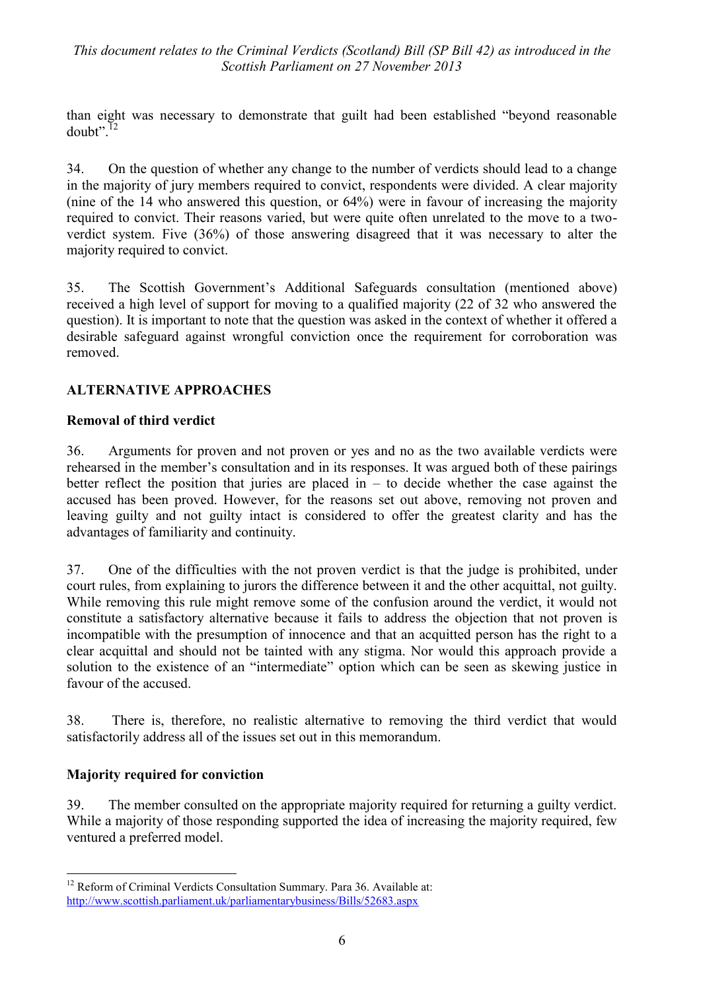than eight was necessary to demonstrate that guilt had been established "beyond reasonable"  $doubt$ <sup>", 12</sup>

34. On the question of whether any change to the number of verdicts should lead to a change in the majority of jury members required to convict, respondents were divided. A clear majority (nine of the 14 who answered this question, or 64%) were in favour of increasing the majority required to convict. Their reasons varied, but were quite often unrelated to the move to a twoverdict system. Five (36%) of those answering disagreed that it was necessary to alter the majority required to convict.

35. The Scottish Government's Additional Safeguards consultation (mentioned above) received a high level of support for moving to a qualified majority (22 of 32 who answered the question). It is important to note that the question was asked in the context of whether it offered a desirable safeguard against wrongful conviction once the requirement for corroboration was removed.

#### **ALTERNATIVE APPROACHES**

#### **Removal of third verdict**

36. Arguments for proven and not proven or yes and no as the two available verdicts were rehearsed in the member's consultation and in its responses. It was argued both of these pairings better reflect the position that juries are placed in  $-$  to decide whether the case against the accused has been proved. However, for the reasons set out above, removing not proven and leaving guilty and not guilty intact is considered to offer the greatest clarity and has the advantages of familiarity and continuity.

37. One of the difficulties with the not proven verdict is that the judge is prohibited, under court rules, from explaining to jurors the difference between it and the other acquittal, not guilty. While removing this rule might remove some of the confusion around the verdict, it would not constitute a satisfactory alternative because it fails to address the objection that not proven is incompatible with the presumption of innocence and that an acquitted person has the right to a clear acquittal and should not be tainted with any stigma. Nor would this approach provide a solution to the existence of an "intermediate" option which can be seen as skewing justice in favour of the accused.

38. There is, therefore, no realistic alternative to removing the third verdict that would satisfactorily address all of the issues set out in this memorandum.

#### **Majority required for conviction**

<u>.</u>

39. The member consulted on the appropriate majority required for returning a guilty verdict. While a majority of those responding supported the idea of increasing the majority required, few ventured a preferred model.

<sup>&</sup>lt;sup>12</sup> Reform of Criminal Verdicts Consultation Summary. Para 36. Available at: <http://www.scottish.parliament.uk/parliamentarybusiness/Bills/52683.aspx>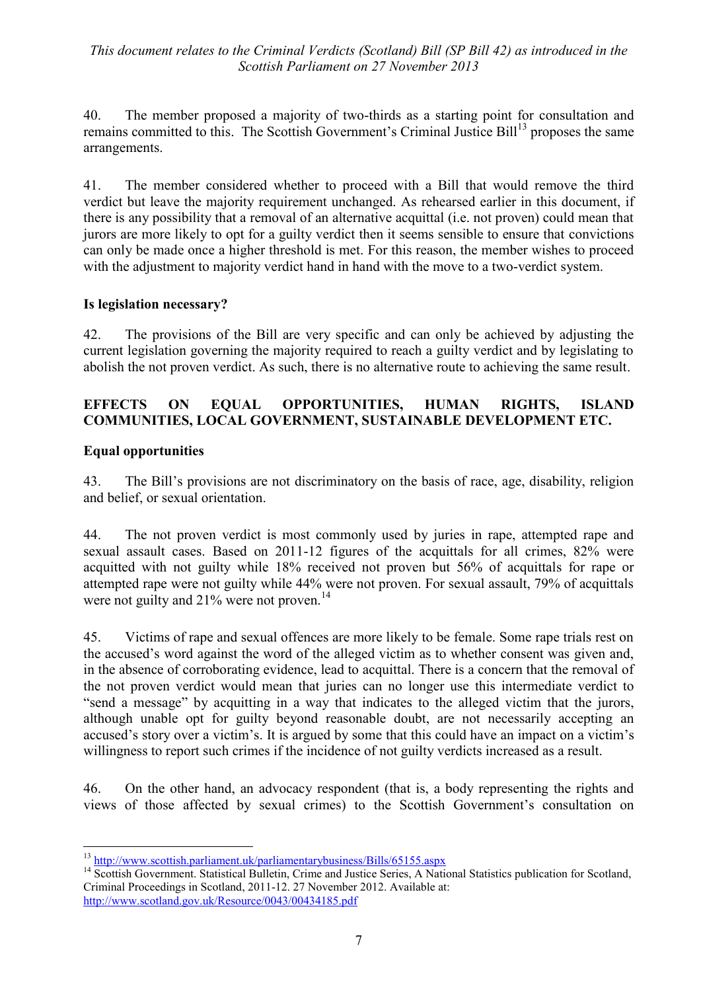40. The member proposed a majority of two-thirds as a starting point for consultation and remains committed to this. The Scottish Government's Criminal Justice Bill<sup>13</sup> proposes the same arrangements.

41. The member considered whether to proceed with a Bill that would remove the third verdict but leave the majority requirement unchanged. As rehearsed earlier in this document, if there is any possibility that a removal of an alternative acquittal (i.e. not proven) could mean that jurors are more likely to opt for a guilty verdict then it seems sensible to ensure that convictions can only be made once a higher threshold is met. For this reason, the member wishes to proceed with the adjustment to majority verdict hand in hand with the move to a two-verdict system.

#### **Is legislation necessary?**

42. The provisions of the Bill are very specific and can only be achieved by adjusting the current legislation governing the majority required to reach a guilty verdict and by legislating to abolish the not proven verdict. As such, there is no alternative route to achieving the same result.

#### **EFFECTS ON EQUAL OPPORTUNITIES, HUMAN RIGHTS, ISLAND COMMUNITIES, LOCAL GOVERNMENT, SUSTAINABLE DEVELOPMENT ETC.**

#### **Equal opportunities**

 $\overline{a}$ 

43. The Bill's provisions are not discriminatory on the basis of race, age, disability, religion and belief, or sexual orientation.

44. The not proven verdict is most commonly used by juries in rape, attempted rape and sexual assault cases. Based on 2011-12 figures of the acquittals for all crimes, 82% were acquitted with not guilty while 18% received not proven but 56% of acquittals for rape or attempted rape were not guilty while 44% were not proven. For sexual assault, 79% of acquittals were not guilty and  $21\%$  were not proven.<sup>14</sup>

45. Victims of rape and sexual offences are more likely to be female. Some rape trials rest on the accused's word against the word of the alleged victim as to whether consent was given and, in the absence of corroborating evidence, lead to acquittal. There is a concern that the removal of the not proven verdict would mean that juries can no longer use this intermediate verdict to "send a message" by acquitting in a way that indicates to the alleged victim that the jurors, although unable opt for guilty beyond reasonable doubt, are not necessarily accepting an accused's story over a victim's. It is argued by some that this could have an impact on a victim's willingness to report such crimes if the incidence of not guilty verdicts increased as a result.

46. On the other hand, an advocacy respondent (that is, a body representing the rights and views of those affected by sexual crimes) to the Scottish Government's consultation on

<sup>&</sup>lt;sup>13</sup> <http://www.scottish.parliament.uk/parliamentarybusiness/Bills/65155.aspx>

<sup>&</sup>lt;sup>14</sup> Scottish Government. Statistical Bulletin, Crime and Justice Series, A National Statistics publication for Scotland, Criminal Proceedings in Scotland, 2011-12. 27 November 2012. Available at: <http://www.scotland.gov.uk/Resource/0043/00434185.pdf>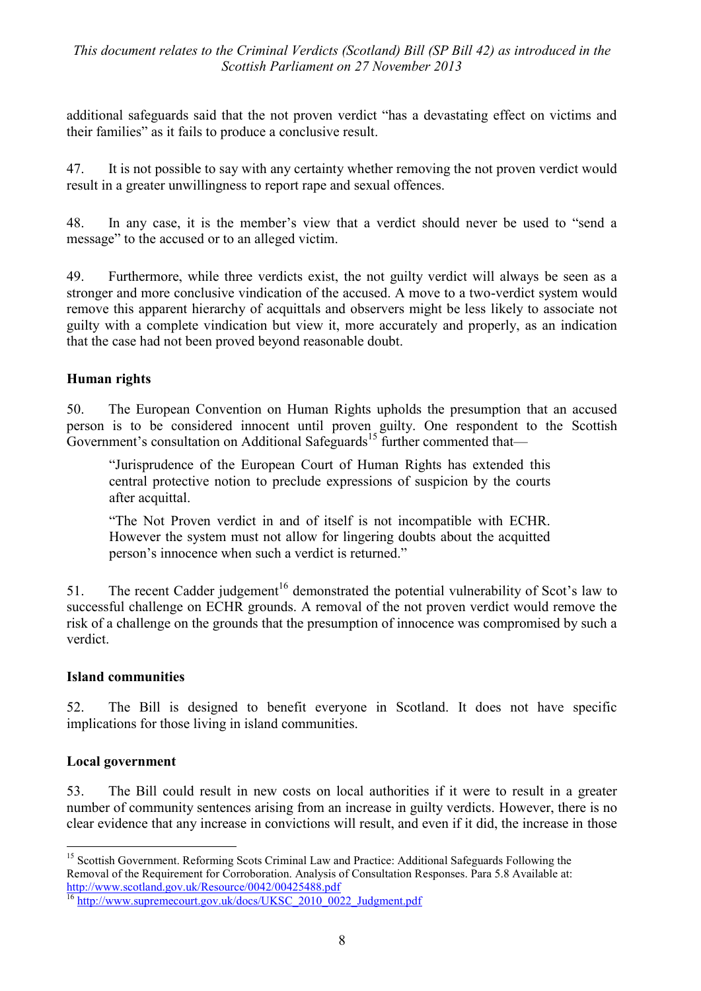additional safeguards said that the not proven verdict "has a devastating effect on victims and their families" as it fails to produce a conclusive result.

47. It is not possible to say with any certainty whether removing the not proven verdict would result in a greater unwillingness to report rape and sexual offences.

48. In any case, it is the member's view that a verdict should never be used to "send a message" to the accused or to an alleged victim.

49. Furthermore, while three verdicts exist, the not guilty verdict will always be seen as a stronger and more conclusive vindication of the accused. A move to a two-verdict system would remove this apparent hierarchy of acquittals and observers might be less likely to associate not guilty with a complete vindication but view it, more accurately and properly, as an indication that the case had not been proved beyond reasonable doubt.

#### **Human rights**

50. The European Convention on Human Rights upholds the presumption that an accused person is to be considered innocent until proven guilty. One respondent to the Scottish Government's consultation on Additional Safeguards<sup>15</sup> further commented that—

―Jurisprudence of the European Court of Human Rights has extended this central protective notion to preclude expressions of suspicion by the courts after acquittal.

―The Not Proven verdict in and of itself is not incompatible with ECHR. However the system must not allow for lingering doubts about the acquitted person's innocence when such a verdict is returned."

51. The recent Cadder judgement<sup>16</sup> demonstrated the potential vulnerability of Scot's law to successful challenge on ECHR grounds. A removal of the not proven verdict would remove the risk of a challenge on the grounds that the presumption of innocence was compromised by such a verdict.

#### **Island communities**

52. The Bill is designed to benefit everyone in Scotland. It does not have specific implications for those living in island communities.

#### **Local government**

53. The Bill could result in new costs on local authorities if it were to result in a greater number of community sentences arising from an increase in guilty verdicts. However, there is no clear evidence that any increase in convictions will result, and even if it did, the increase in those

<sup>&</sup>lt;u>.</u> <sup>15</sup> Scottish Government. Reforming Scots Criminal Law and Practice: Additional Safeguards Following the Removal of the Requirement for Corroboration. Analysis of Consultation Responses. Para 5.8 Available at: <http://www.scotland.gov.uk/Resource/0042/00425488.pdf>

<sup>&</sup>lt;sup>16</sup> [http://www.supremecourt.gov.uk/docs/UKSC\\_2010\\_0022\\_Judgment.pdf](http://www.supremecourt.gov.uk/docs/UKSC_2010_0022_Judgment.pdf)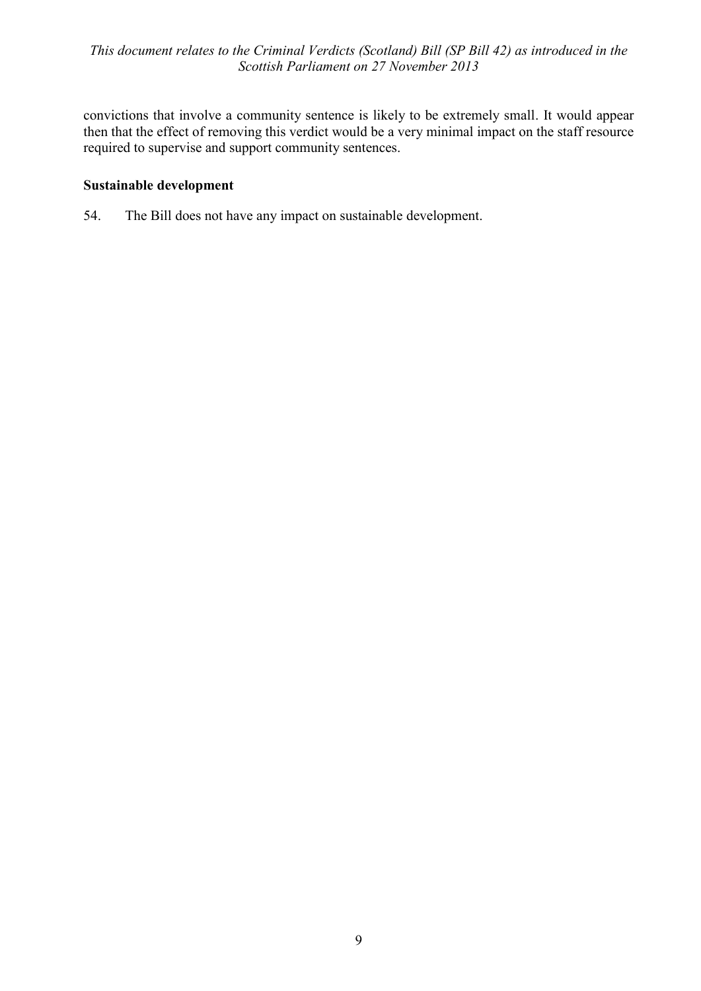convictions that involve a community sentence is likely to be extremely small. It would appear then that the effect of removing this verdict would be a very minimal impact on the staff resource required to supervise and support community sentences.

#### **Sustainable development**

54. The Bill does not have any impact on sustainable development.